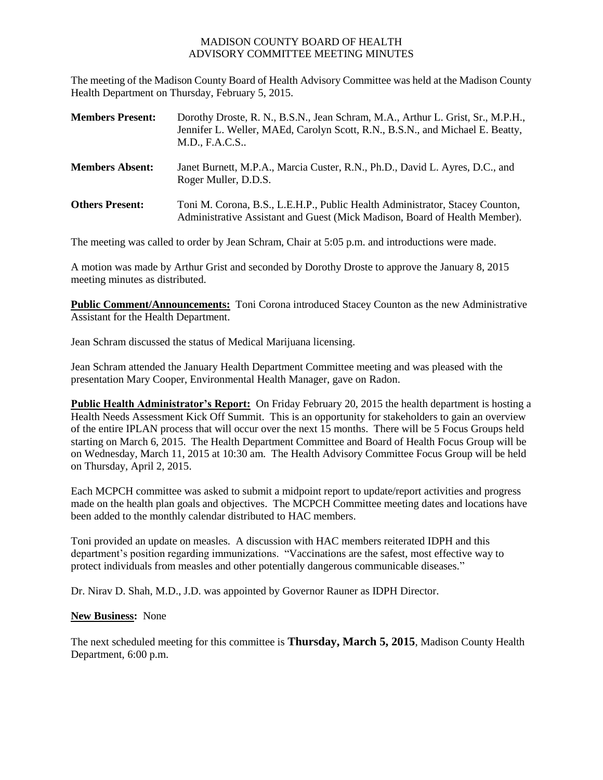## MADISON COUNTY BOARD OF HEALTH ADVISORY COMMITTEE MEETING MINUTES

The meeting of the Madison County Board of Health Advisory Committee was held at the Madison County Health Department on Thursday, February 5, 2015.

| <b>Members Present:</b> | Dorothy Droste, R. N., B.S.N., Jean Schram, M.A., Arthur L. Grist, Sr., M.P.H.,<br>Jennifer L. Weller, MAEd, Carolyn Scott, R.N., B.S.N., and Michael E. Beatty,<br>M.D., F.A.C.S |
|-------------------------|-----------------------------------------------------------------------------------------------------------------------------------------------------------------------------------|
| <b>Members Absent:</b>  | Janet Burnett, M.P.A., Marcia Custer, R.N., Ph.D., David L. Ayres, D.C., and<br>Roger Muller, D.D.S.                                                                              |
| <b>Others Present:</b>  | Toni M. Corona, B.S., L.E.H.P., Public Health Administrator, Stacey Counton,<br>Administrative Assistant and Guest (Mick Madison, Board of Health Member).                        |

The meeting was called to order by Jean Schram, Chair at 5:05 p.m. and introductions were made.

A motion was made by Arthur Grist and seconded by Dorothy Droste to approve the January 8, 2015 meeting minutes as distributed.

**Public Comment/Announcements:** Toni Corona introduced Stacey Counton as the new Administrative Assistant for the Health Department.

Jean Schram discussed the status of Medical Marijuana licensing.

Jean Schram attended the January Health Department Committee meeting and was pleased with the presentation Mary Cooper, Environmental Health Manager, gave on Radon.

**Public Health Administrator's Report:** On Friday February 20, 2015 the health department is hosting a Health Needs Assessment Kick Off Summit. This is an opportunity for stakeholders to gain an overview of the entire IPLAN process that will occur over the next 15 months. There will be 5 Focus Groups held starting on March 6, 2015. The Health Department Committee and Board of Health Focus Group will be on Wednesday, March 11, 2015 at 10:30 am. The Health Advisory Committee Focus Group will be held on Thursday, April 2, 2015.

Each MCPCH committee was asked to submit a midpoint report to update/report activities and progress made on the health plan goals and objectives. The MCPCH Committee meeting dates and locations have been added to the monthly calendar distributed to HAC members.

Toni provided an update on measles. A discussion with HAC members reiterated IDPH and this department's position regarding immunizations. "Vaccinations are the safest, most effective way to protect individuals from measles and other potentially dangerous communicable diseases."

Dr. Nirav D. Shah, M.D., J.D. was appointed by Governor Rauner as IDPH Director.

## **New Business:** None

The next scheduled meeting for this committee is **Thursday, March 5, 2015**, Madison County Health Department, 6:00 p.m.